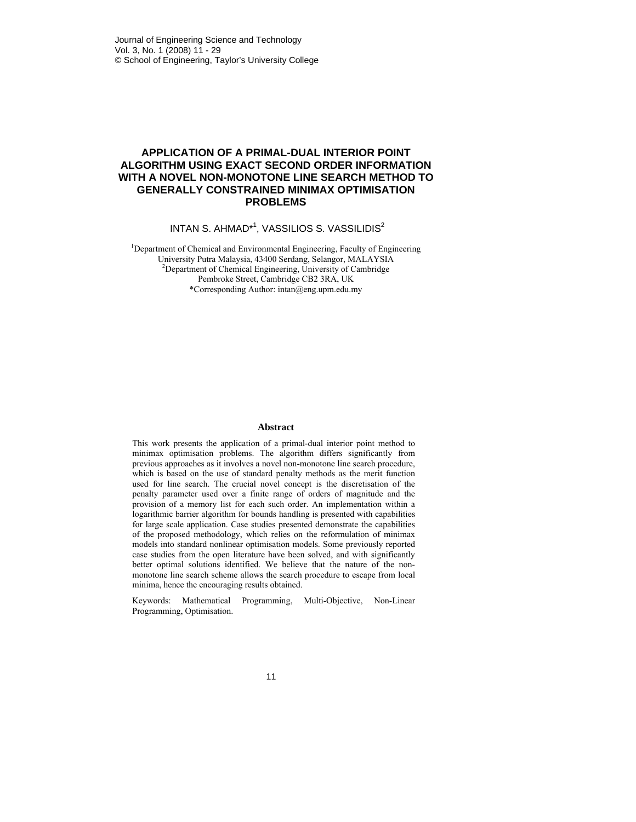## **APPLICATION OF A PRIMAL-DUAL INTERIOR POINT ALGORITHM USING EXACT SECOND ORDER INFORMATION WITH A NOVEL NON-MONOTONE LINE SEARCH METHOD TO GENERALLY CONSTRAINED MINIMAX OPTIMISATION PROBLEMS**

INTAN S. AHMAD<sup>\*1</sup>, VASSILIOS S. VASSILIDIS<sup>2</sup>

<sup>1</sup>Department of Chemical and Environmental Engineering, Faculty of Engineering University Putra Malaysia, 43400 Serdang, Selangor, MALAYSIA 2 Department of Chemical Engineering, University of Cambridge Pembroke Street, Cambridge CB2 3RA, UK \*Corresponding Author: intan@eng.upm.edu.my

### **Abstract**

This work presents the application of a primal-dual interior point method to minimax optimisation problems. The algorithm differs significantly from previous approaches as it involves a novel non-monotone line search procedure, which is based on the use of standard penalty methods as the merit function used for line search. The crucial novel concept is the discretisation of the penalty parameter used over a finite range of orders of magnitude and the provision of a memory list for each such order. An implementation within a logarithmic barrier algorithm for bounds handling is presented with capabilities for large scale application. Case studies presented demonstrate the capabilities of the proposed methodology, which relies on the reformulation of minimax models into standard nonlinear optimisation models. Some previously reported case studies from the open literature have been solved, and with significantly better optimal solutions identified. We believe that the nature of the nonmonotone line search scheme allows the search procedure to escape from local minima, hence the encouraging results obtained.

Keywords: Mathematical Programming, Multi-Objective, Non-Linear Programming, Optimisation.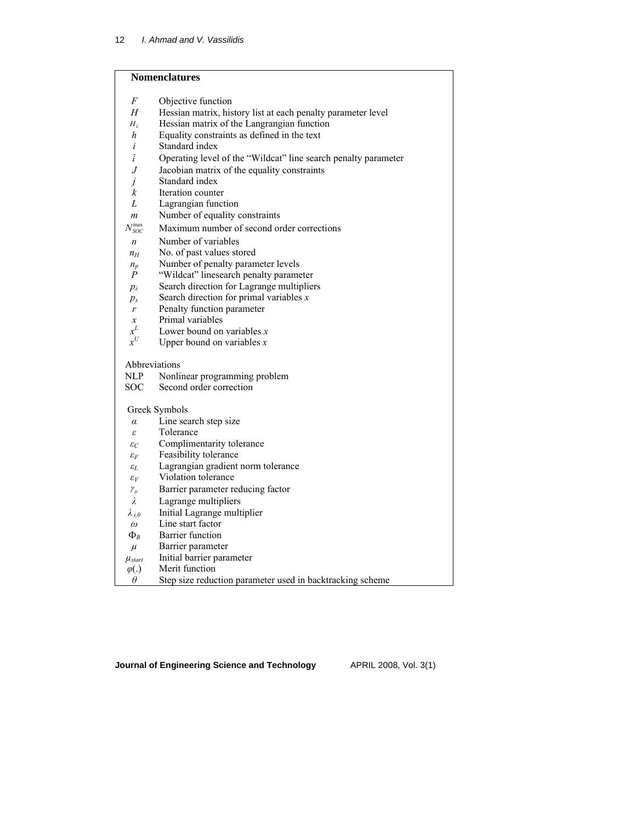# **Nomenclatures**

| F                       | Objective function                                             |
|-------------------------|----------------------------------------------------------------|
| Н                       | Hessian matrix, history list at each penalty parameter level   |
| $H_L$                   | Hessian matrix of the Langrangian function                     |
| h                       | Equality constraints as defined in the text                    |
| i                       | Standard index                                                 |
| $\hat{i}$               | Operating level of the "Wildcat" line search penalty parameter |
| J                       | Jacobian matrix of the equality constraints                    |
| İ                       | Standard index                                                 |
| k                       | Iteration counter                                              |
| L                       | Lagrangian function                                            |
| m                       | Number of equality constraints                                 |
| $N_{SOC}^{max}$         | Maximum number of second order corrections                     |
| $\boldsymbol{n}$        | Number of variables                                            |
| $n_H$                   | No. of past values stored                                      |
| $n_p$                   | Number of penalty parameter levels                             |
| $\overline{P}$          | "Wildcat" linesearch penalty parameter                         |
| $p_{\lambda}$           | Search direction for Lagrange multipliers                      |
| $p_x$                   | Search direction for primal variables $x$                      |
| r                       | Penalty function parameter                                     |
| $\mathfrak{X}$<br>$x^L$ | Primal variables                                               |
| $x^U$                   | Lower bound on variables $x$                                   |
|                         | Upper bound on variables $x$                                   |
| Abbreviations           |                                                                |
| NLP                     | Nonlinear programming problem                                  |
| <b>SOC</b>              | Second order correction                                        |
|                         | Greek Symbols                                                  |
| $\alpha$                | Line search step size                                          |
| ε                       | Tolerance                                                      |
| $\varepsilon_C$         | Complimentarity tolerance                                      |
| $\varepsilon_F$         | Feasibility tolerance                                          |
| $\varepsilon_L$         | Lagrangian gradient norm tolerance                             |
| $\varepsilon_V$         | Violation tolerance                                            |
| $\gamma_{\mu}$          | Barrier parameter reducing factor                              |
| $\lambda$               | Lagrange multipliers                                           |
| $\lambda_{i,0}$         | Initial Lagrange multiplier                                    |
| $\omega$                | Line start factor                                              |
| $\Phi_R$                | Barrier function                                               |
| $\mu$                   | Barrier parameter                                              |
| $\mu_{\text{start}}$    | Initial barrier parameter                                      |
| $\varphi(.)$            | Merit function                                                 |
| $\theta$                | Step size reduction parameter used in backtracking scheme      |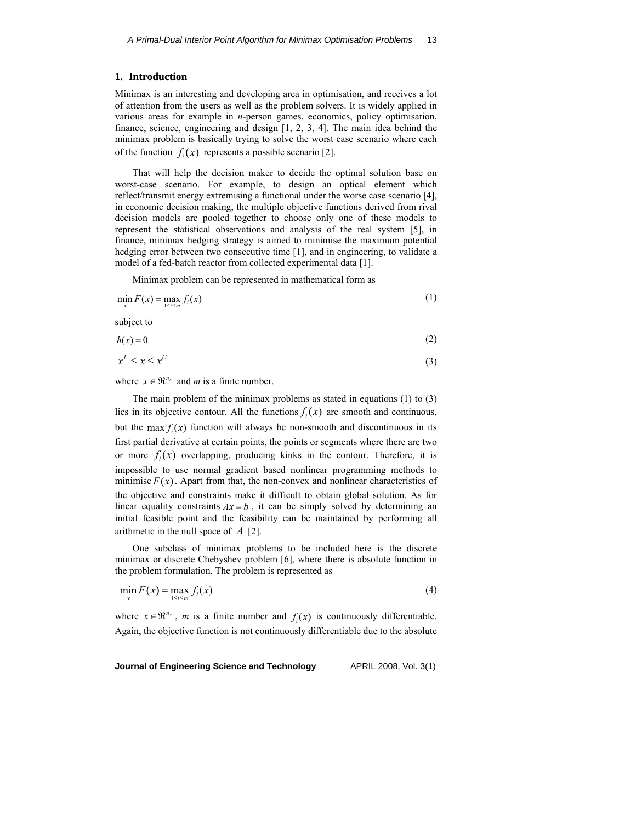### **1. Introduction**

Minimax is an interesting and developing area in optimisation, and receives a lot of attention from the users as well as the problem solvers. It is widely applied in various areas for example in *n*-person games, economics, policy optimisation, finance, science, engineering and design [1, 2, 3, 4]. The main idea behind the minimax problem is basically trying to solve the worst case scenario where each of the function  $f_i(x)$  represents a possible scenario [2].

That will help the decision maker to decide the optimal solution base on worst-case scenario. For example, to design an optical element which reflect/transmit energy extremising a functional under the worse case scenario [4], in economic decision making, the multiple objective functions derived from rival decision models are pooled together to choose only one of these models to represent the statistical observations and analysis of the real system [5], in finance, minimax hedging strategy is aimed to minimise the maximum potential hedging error between two consecutive time [1], and in engineering, to validate a model of a fed-batch reactor from collected experimental data [1].

Minimax problem can be represented in mathematical form as

$$
\min_{x} F(x) = \max_{1 \le i \le m} f_i(x) \tag{1}
$$

subject to

$$
h(x) = 0\tag{2}
$$

$$
x^L \le x \le x^U \tag{3}
$$

where  $x \in \mathbb{R}^{n_x}$  and *m* is a finite number.

The main problem of the minimax problems as stated in equations (1) to (3) lies in its objective contour. All the functions  $f_i(x)$  are smooth and continuous, but the max  $f_i(x)$  function will always be non-smooth and discontinuous in its first partial derivative at certain points, the points or segments where there are two or more  $f_i(x)$  overlapping, producing kinks in the contour. Therefore, it is impossible to use normal gradient based nonlinear programming methods to minimise  $F(x)$ . Apart from that, the non-convex and nonlinear characteristics of the objective and constraints make it difficult to obtain global solution. As for linear equality constraints  $Ax = b$ , it can be simply solved by determining an initial feasible point and the feasibility can be maintained by performing all arithmetic in the null space of *A* [2].

One subclass of minimax problems to be included here is the discrete minimax or discrete Chebyshev problem [6], where there is absolute function in the problem formulation. The problem is represented as

$$
\min_{x} F(x) = \max_{1 \le i \le m} |f_i(x)| \tag{4}
$$

where  $x \in \mathbb{R}^{n_x}$ , *m* is a finite number and  $f_i(x)$  is continuously differentiable. Again, the objective function is not continuously differentiable due to the absolute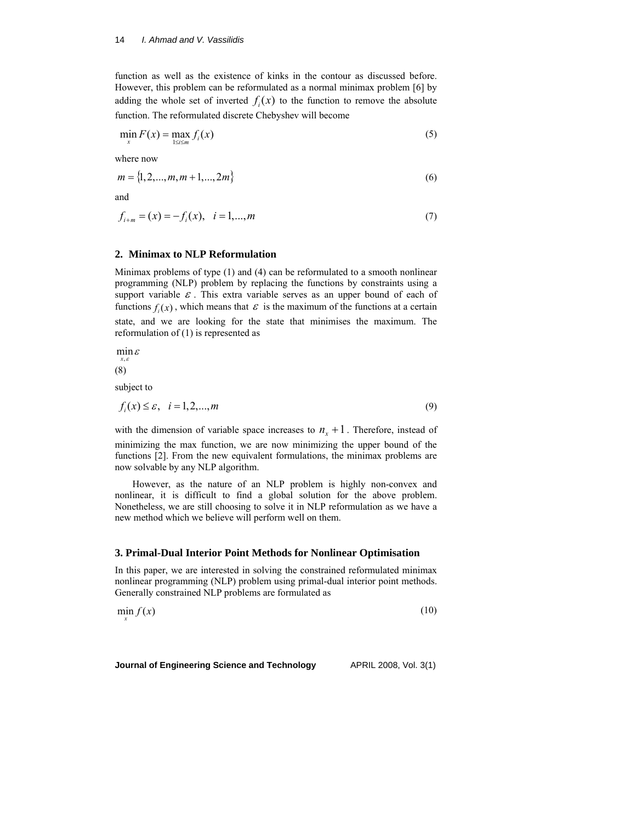function as well as the existence of kinks in the contour as discussed before. However, this problem can be reformulated as a normal minimax problem [6] by adding the whole set of inverted  $f_i(x)$  to the function to remove the absolute function. The reformulated discrete Chebyshev will become

$$
\min_{x} F(x) = \max_{1 \le i \le m} f_i(x) \tag{5}
$$

where now

$$
m = \{1, 2, ..., m, m+1, ..., 2m\}
$$
 (6)

and

$$
f_{i+m} = (x) = -f_i(x), \quad i = 1,...,m
$$
 (7)

### **2. Minimax to NLP Reformulation**

Minimax problems of type (1) and (4) can be reformulated to a smooth nonlinear programming (NLP) problem by replacing the functions by constraints using a support variable  $\varepsilon$ . This extra variable serves as an upper bound of each of functions  $f_i(x)$ , which means that  $\varepsilon$  is the maximum of the functions at a certain state, and we are looking for the state that minimises the maximum. The reformulation of (1) is represented as

 $\min_{x,\varepsilon} \varepsilon$ *x*

(8)

subject to

$$
f_i(x) \le \varepsilon, \quad i = 1, 2, \dots, m \tag{9}
$$

with the dimension of variable space increases to  $n_r + 1$ . Therefore, instead of minimizing the max function, we are now minimizing the upper bound of the functions [2]. From the new equivalent formulations, the minimax problems are now solvable by any NLP algorithm.

However, as the nature of an NLP problem is highly non-convex and nonlinear, it is difficult to find a global solution for the above problem. Nonetheless, we are still choosing to solve it in NLP reformulation as we have a new method which we believe will perform well on them.

### **3. Primal-Dual Interior Point Methods for Nonlinear Optimisation**

In this paper, we are interested in solving the constrained reformulated minimax nonlinear programming (NLP) problem using primal-dual interior point methods. Generally constrained NLP problems are formulated as

 $\min f(x)$ (10)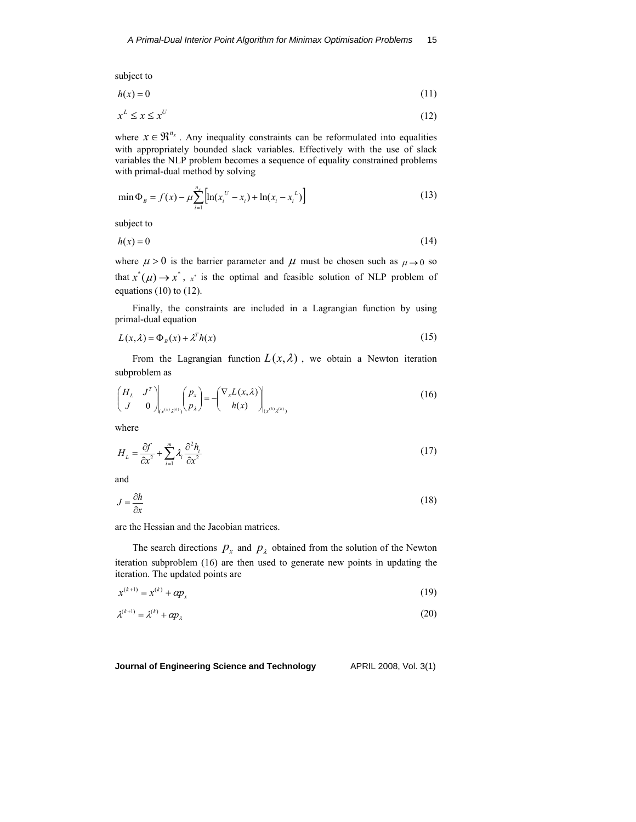subject to

$$
h(x) = 0\tag{11}
$$

$$
x^L \le x \le x^U \tag{12}
$$

where  $x \in \mathbb{R}^{n_x}$ . Any inequality constraints can be reformulated into equalities with appropriately bounded slack variables. Effectively with the use of slack variables the NLP problem becomes a sequence of equality constrained problems with primal-dual method by solving

$$
\min \Phi_B = f(x) - \mu \sum_{i=1}^{n_x} \left[ \ln(x_i^U - x_i) + \ln(x_i - x_i^L) \right]
$$
\n(13)

subject to

$$
h(x) = 0\tag{14}
$$

where  $\mu > 0$  is the barrier parameter and  $\mu$  must be chosen such as  $\mu \rightarrow 0$  so that  $x^*(\mu) \to x^*$ , x is the optimal and feasible solution of NLP problem of equations  $(10)$  to  $(12)$ .

Finally, the constraints are included in a Lagrangian function by using primal-dual equation

$$
L(x,\lambda) = \Phi_B(x) + \lambda^T h(x) \tag{15}
$$

From the Lagrangian function  $L(x, \lambda)$ , we obtain a Newton iteration subproblem as

$$
\begin{pmatrix} H_L & J^T \ J & 0 \end{pmatrix}_{(x^{(k)}z^{(k)})}(p_x) = -\begin{pmatrix} \nabla_x L(x, \lambda) \\ h(x) \end{pmatrix}_{(x^{(k)}z^{(k)})}
$$
(16)

where

$$
H_L = \frac{\partial f}{\partial x^2} + \sum_{i=1}^m \lambda_i \frac{\partial^2 h_i}{\partial x^2}
$$
 (17)

and

$$
J = \frac{\partial h}{\partial x} \tag{18}
$$

are the Hessian and the Jacobian matrices.

The search directions  $p_x$  and  $p_\lambda$  obtained from the solution of the Newton iteration subproblem (16) are then used to generate new points in updating the iteration. The updated points are

$$
x^{(k+1)} = x^{(k)} + \alpha p_x \tag{19}
$$

$$
\lambda^{(k+1)} = \lambda^{(k)} + \alpha p_{\lambda} \tag{20}
$$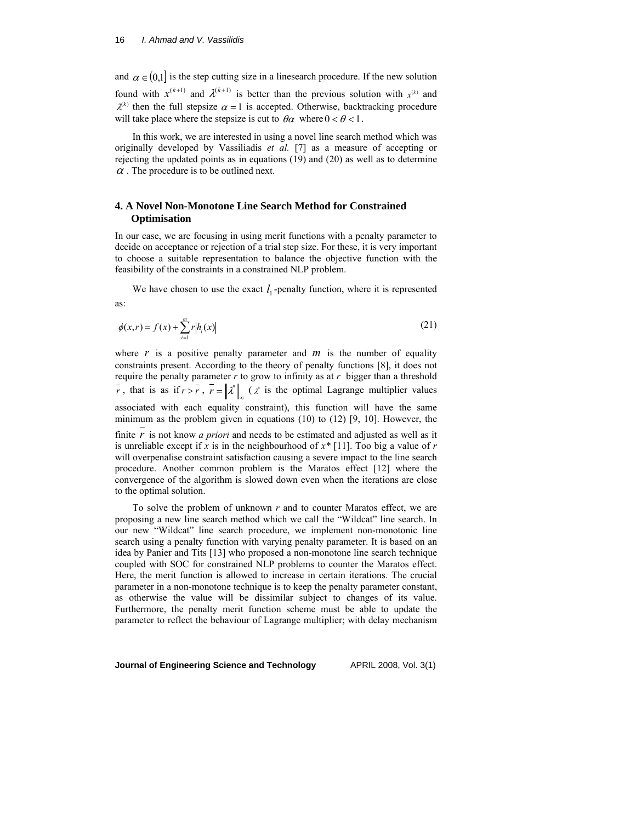#### 16 *I. Ahmad and V. Vassilidis*

and  $\alpha \in (0,1]$  is the step cutting size in a linesearch procedure. If the new solution found with  $x^{(k+1)}$  and  $\lambda^{(k+1)}$  is better than the previous solution with  $x^{(k)}$  and  $\lambda^{(k)}$  then the full stepsize  $\alpha = 1$  is accepted. Otherwise, backtracking procedure will take place where the stepsize is cut to  $\theta \alpha$  where  $0 < \theta < 1$ .

In this work, we are interested in using a novel line search method which was originally developed by Vassiliadis *et al.* [7] as a measure of accepting or rejecting the updated points as in equations (19) and (20) as well as to determine  $\alpha$ . The procedure is to be outlined next.

## **4. A Novel Non-Monotone Line Search Method for Constrained Optimisation**

In our case, we are focusing in using merit functions with a penalty parameter to decide on acceptance or rejection of a trial step size. For these, it is very important to choose a suitable representation to balance the objective function with the feasibility of the constraints in a constrained NLP problem.

We have chosen to use the exact  $l_1$ -penalty function, where it is represented as:

$$
\phi(x,r) = f(x) + \sum_{i=1}^{m} r |h_i(x)| \tag{21}
$$

where  $r$  is a positive penalty parameter and  $m$  is the number of equality constraints present. According to the theory of penalty functions [8], it does not require the penalty parameter *r* to grow to infinity as at *r* bigger than a threshold *r*, that is as if  $r > r$ ,  $\overline{r} = ||\lambda^*||$  ( $\lambda^*$  is the optimal Lagrange multiplier values associated with each equality constraint), this function will have the same minimum as the problem given in equations  $(10)$  to  $(12)$  [9, 10]. However, the

finite *r* is not know *a priori* and needs to be estimated and adjusted as well as it is unreliable except if *x* is in the neighbourhood of *x\** [11]. Too big a value of *r*  will overpenalise constraint satisfaction causing a severe impact to the line search procedure. Another common problem is the Maratos effect [12] where the convergence of the algorithm is slowed down even when the iterations are close to the optimal solution.

To solve the problem of unknown *r* and to counter Maratos effect, we are proposing a new line search method which we call the "Wildcat" line search. In our new "Wildcat" line search procedure, we implement non-monotonic line search using a penalty function with varying penalty parameter. It is based on an idea by Panier and Tits [13] who proposed a non-monotone line search technique coupled with SOC for constrained NLP problems to counter the Maratos effect. Here, the merit function is allowed to increase in certain iterations. The crucial parameter in a non-monotone technique is to keep the penalty parameter constant, as otherwise the value will be dissimilar subject to changes of its value. Furthermore, the penalty merit function scheme must be able to update the parameter to reflect the behaviour of Lagrange multiplier; with delay mechanism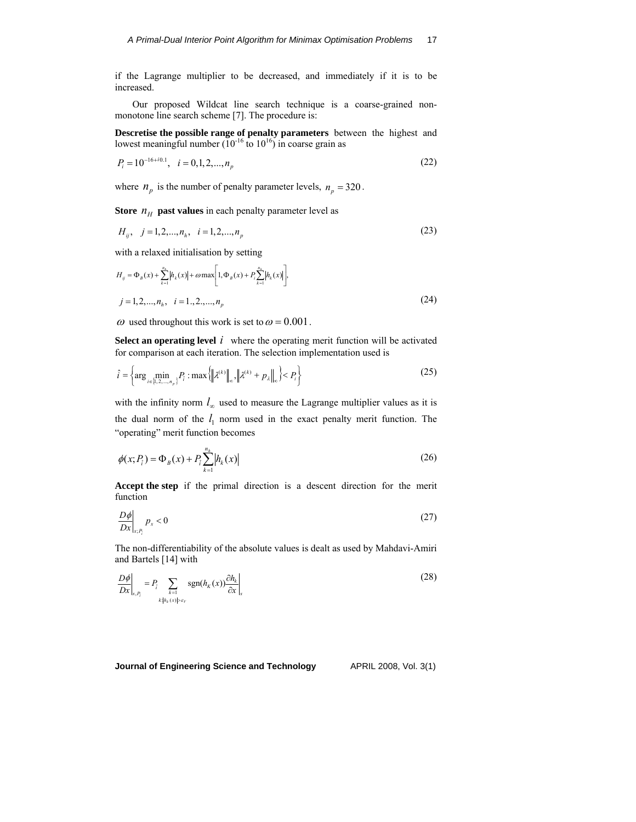if the Lagrange multiplier to be decreased, and immediately if it is to be increased.

Our proposed Wildcat line search technique is a coarse-grained nonmonotone line search scheme [7]. The procedure is:

**Descretise the possible range of penalty parameters** between the highest and lowest meaningful number  $(10^{-16}$  to  $10^{16})$  in coarse grain as

$$
P_i = 10^{-16+i0.1}, \quad i = 0, 1, 2, \dots, n_p \tag{22}
$$

where  $n_p$  is the number of penalty parameter levels,  $n_p = 320$ .

**Store**  $n_H$  **past values** in each penalty parameter level as

$$
H_{ij}, \quad j = 1, 2, \dots, n_h, \quad i = 1, 2, \dots, n_p \tag{23}
$$

with a relaxed initialisation by setting

$$
H_{ij} = \Phi_B(x) + \sum_{k=1}^{n_b} |h_k(x)| + \omega \max \left[ 1, \Phi_B(x) + P_i \sum_{k=1}^{n_b} |h_k(x)| \right],
$$
  
\n
$$
j = 1, 2, ..., n_h, \quad i = 1, 2, ..., n_p
$$
\n(24)

 $\omega$  used throughout this work is set to  $\omega$  = 0.001.

**Select an operating level**  $i$  where the operating merit function will be activated for comparison at each iteration. The selection implementation used is

$$
\hat{i} = \left\{ \arg\min_{i \in \{1, 2, \dots, n_p\}} P_i : \max\left\{ \left\| \lambda^{(k)} \right\|_{\infty}, \left\| \lambda^{(k)} + p_{\lambda} \right\|_{\infty} \right\} < P_i \right\} \tag{25}
$$

with the infinity norm  $l_{\infty}$  used to measure the Lagrange multiplier values as it is the dual norm of the  $l_1$  norm used in the exact penalty merit function. The "operating" merit function becomes

$$
\phi(x; P_{\hat{i}}) = \Phi_B(x) + P_{\hat{i}} \sum_{k=1}^{n_h} |h_k(x)| \tag{26}
$$

**Accept the step** if the primal direction is a descent direction for the merit function

$$
\frac{D\phi}{Dx}\bigg|_{x,P_i} p_x < 0\tag{27}
$$

The non-differentiability of the absolute values is dealt as used by Mahdavi-Amiri and Bartels [14] with

$$
\frac{D\phi}{Dx}\bigg|_{x,P_i} = P_i \sum_{\substack{k=1 \ k \neq \{h_k(x)|>v_r\}}} \text{sgn}(h_K(x)) \frac{\partial h_k}{\partial x}\bigg|_{x}
$$
\n<sup>(28)</sup>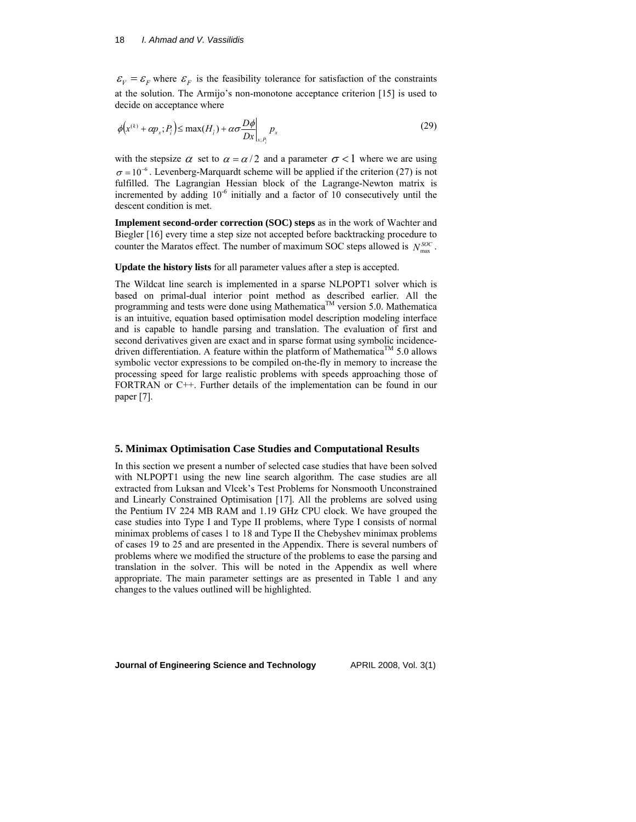#### 18 *I. Ahmad and V. Vassilidis*

 $\mathcal{E}_V = \mathcal{E}_F$  where  $\mathcal{E}_F$  is the feasibility tolerance for satisfaction of the constraints at the solution. The Armijo's non-monotone acceptance criterion [15] is used to decide on acceptance where

$$
\phi\big(x^{(k)} + \alpha p_x; P_i\big) \le \max(H_i) + \alpha \sigma \frac{D\phi}{Dx}\bigg|_{x; P_i} p_x \tag{29}
$$

with the stepsize  $\alpha$  set to  $\alpha = \alpha/2$  and a parameter  $\sigma < 1$  where we are using  $\sigma = 10^{-6}$ . Levenberg-Marquardt scheme will be applied if the criterion (27) is not fulfilled. The Lagrangian Hessian block of the Lagrange-Newton matrix is incremented by adding  $10^{-6}$  initially and a factor of 10 consecutively until the descent condition is met.

**Implement second-order correction (SOC) steps** as in the work of Wachter and Biegler [16] every time a step size not accepted before backtracking procedure to counter the Maratos effect. The number of maximum SOC steps allowed is  $N_{\text{max}}^{SOC}$ .

**Update the history lists** for all parameter values after a step is accepted.

The Wildcat line search is implemented in a sparse NLPOPT1 solver which is based on primal-dual interior point method as described earlier. All the programming and tests were done using Mathematica<sup>TM</sup> version 5.0. Mathematica is an intuitive, equation based optimisation model description modeling interface and is capable to handle parsing and translation. The evaluation of first and second derivatives given are exact and in sparse format using symbolic incidencedriven differentiation. A feature within the platform of Mathematica<sup>TM</sup> 5.0 allows symbolic vector expressions to be compiled on-the-fly in memory to increase the processing speed for large realistic problems with speeds approaching those of FORTRAN or C++. Further details of the implementation can be found in our paper [7].

### **5. Minimax Optimisation Case Studies and Computational Results**

In this section we present a number of selected case studies that have been solved with NLPOPT1 using the new line search algorithm. The case studies are all extracted from Luksan and Vlcek's Test Problems for Nonsmooth Unconstrained and Linearly Constrained Optimisation [17]. All the problems are solved using the Pentium IV 224 MB RAM and 1.19 GHz CPU clock. We have grouped the case studies into Type I and Type II problems, where Type I consists of normal minimax problems of cases 1 to 18 and Type II the Chebyshev minimax problems of cases 19 to 25 and are presented in the Appendix. There is several numbers of problems where we modified the structure of the problems to ease the parsing and translation in the solver. This will be noted in the Appendix as well where appropriate. The main parameter settings are as presented in Table 1 and any changes to the values outlined will be highlighted.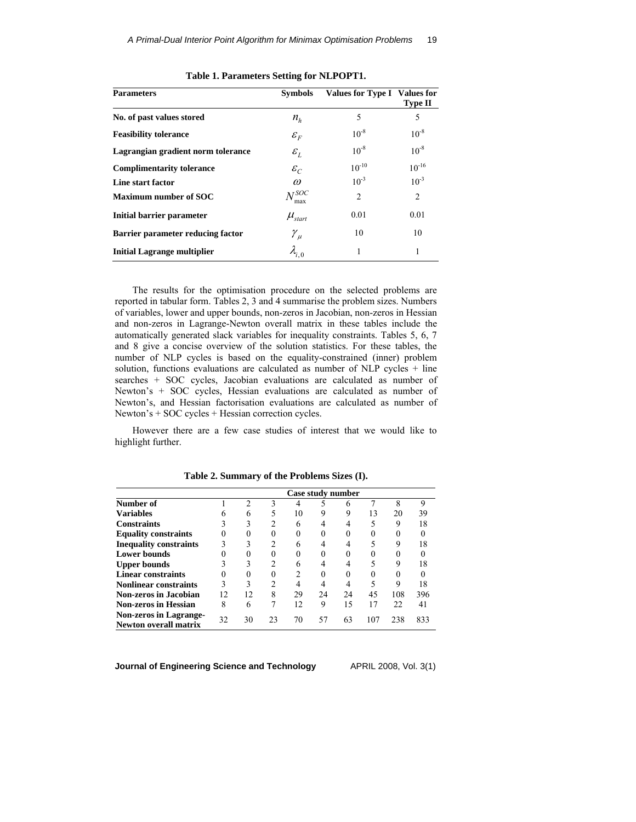| <b>Parameters</b>                  | <b>Symbols</b>                       | Values for Type I | <b>Values for</b><br><b>Type II</b> |
|------------------------------------|--------------------------------------|-------------------|-------------------------------------|
| No. of past values stored          | $n_{h}$                              | 5                 | 5                                   |
| <b>Feasibility tolerance</b>       | ${\cal E}_F$                         | $10^{-8}$         | $10^{-8}$                           |
| Lagrangian gradient norm tolerance | $\varepsilon_L$                      | $10^{-8}$         | $10^{-8}$                           |
| <b>Complimentarity tolerance</b>   | $\varepsilon_{\scriptscriptstyle C}$ | $10^{-10}$        | $10^{-16}$                          |
| Line start factor                  | $\omega$                             | $10^{-3}$         | $10^{-3}$                           |
| <b>Maximum number of SOC</b>       | $N^{SOC}$<br>max                     | $\overline{c}$    | $\overline{2}$                      |
| Initial barrier parameter          | $\mu_{\text{start}}$                 | 0.01              | 0.01                                |
| Barrier parameter reducing factor  | $\gamma_{\mu}$                       | 10                | 10                                  |
| <b>Initial Lagrange multiplier</b> | $\lambda_{i, \, 0}$                  | 1                 | 1                                   |

**Table 1. Parameters Setting for NLPOPT1.** 

The results for the optimisation procedure on the selected problems are reported in tabular form. Tables 2, 3 and 4 summarise the problem sizes. Numbers of variables, lower and upper bounds, non-zeros in Jacobian, non-zeros in Hessian and non-zeros in Lagrange-Newton overall matrix in these tables include the automatically generated slack variables for inequality constraints. Tables 5, 6, 7 and 8 give a concise overview of the solution statistics. For these tables, the number of NLP cycles is based on the equality-constrained (inner) problem solution, functions evaluations are calculated as number of NLP cycles + line searches + SOC cycles, Jacobian evaluations are calculated as number of Newton's + SOC cycles, Hessian evaluations are calculated as number of Newton's, and Hessian factorisation evaluations are calculated as number of Newton's + SOC cycles + Hessian correction cycles.

However there are a few case studies of interest that we would like to highlight further.

|                                                               |     |    |    |    | Case study number |    |     |     |     |
|---------------------------------------------------------------|-----|----|----|----|-------------------|----|-----|-----|-----|
| Number of                                                     |     |    |    |    |                   |    |     | 8   | 9   |
| <b>Variables</b>                                              |     | 6  |    | 10 | 9                 | 9  | 13  | 20  | 39  |
| <b>Constraints</b>                                            |     |    | 2  |    |                   |    |     | Q   | 18  |
| <b>Equality constraints</b>                                   |     |    |    |    | $\Omega$          |    |     |     |     |
| <b>Inequality constraints</b>                                 |     |    | າ  |    |                   |    |     | 9   | 18  |
| <b>Lower bounds</b>                                           |     |    |    |    |                   |    |     |     |     |
| <b>Upper bounds</b>                                           |     |    |    | h  |                   |    |     | 9   | 18  |
| <b>Linear constraints</b>                                     |     |    |    | 2  |                   |    |     |     |     |
| <b>Nonlinear constraints</b>                                  |     |    | ↑  |    |                   |    |     | Q   | 18  |
| Non-zeros in Jacobian                                         | 12. | 12 | 8  | 29 | 24                | 24 | 45  | 108 | 396 |
| <b>Non-zeros in Hessian</b>                                   | 8   | 6  |    | 12 | 9                 | 15 | 17  | 22  | 41  |
| <b>Non-zeros in Lagrange-</b><br><b>Newton overall matrix</b> | 32  | 30 | 23 | 70 | 57                | 63 | 107 | 238 | 833 |

**Table 2. Summary of the Problems Sizes (I).**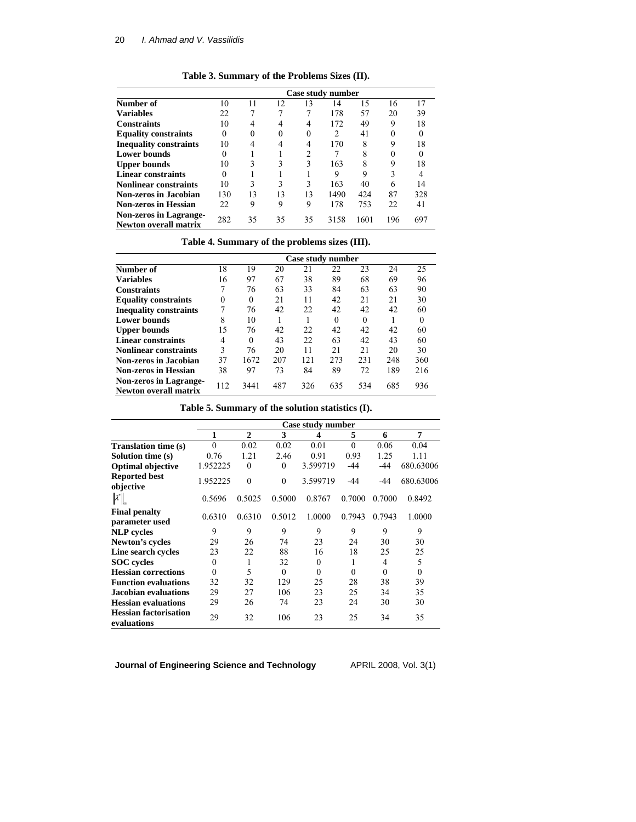| Table 3. Summary of the Problems Sizes (II). |  |  |  |  |
|----------------------------------------------|--|--|--|--|
|----------------------------------------------|--|--|--|--|

|                                                        | Case study number |    |    |    |      |      |             |     |  |
|--------------------------------------------------------|-------------------|----|----|----|------|------|-------------|-----|--|
| Number of                                              | 10                | 11 | 12 | 13 | 14   | 15   | 16          | 17  |  |
| <b>Variables</b>                                       | 22                |    |    |    | 178  | 57   | 20          | 39  |  |
| <b>Constraints</b>                                     | 10                |    | 4  | 4  | 172  | 49   | 9           | 18  |  |
| <b>Equality constraints</b>                            | 0                 | 0  | 0  | 0  | 2    | 41   |             |     |  |
| <b>Inequality constraints</b>                          | 10                |    | 4  |    | 170  | 8    | $\mathbf Q$ | 18  |  |
| <b>Lower bounds</b>                                    |                   |    |    | ↑  |      | 8    |             |     |  |
| <b>Upper bounds</b>                                    | 10                | 3  | 3  | 3  | 163  | 8    | 9           | 18  |  |
| <b>Linear constraints</b>                              |                   |    |    |    | 9    | 9    | 3           |     |  |
| <b>Nonlinear constraints</b>                           | 10                | 3  | 3  | 3  | 163  | 40   | 6           | 14  |  |
| Non-zeros in Jacobian                                  | 130               | 13 | 13 | 13 | 1490 | 424  | 87          | 328 |  |
| <b>Non-zeros in Hessian</b>                            | 22                | 9  | 9  | 9  | 178  | 753  | 22          | 41  |  |
| Non-zeros in Lagrange-<br><b>Newton overall matrix</b> | 282               | 35 | 35 | 35 | 3158 | 1601 | 196         | 697 |  |

# **Table 4. Summary of the problems sizes (III).**

|                               | Case study number |          |     |     |          |          |     |          |  |
|-------------------------------|-------------------|----------|-----|-----|----------|----------|-----|----------|--|
| Number of                     | 18                | 19       | 20  | 21  | 22       | 23       | 24  | 25       |  |
| <b>Variables</b>              | 16                | 97       | 67  | 38  | 89       | 68       | 69  | 96       |  |
| <b>Constraints</b>            | 7                 | 76       | 63  | 33  | 84       | 63       | 63  | 90       |  |
| <b>Equality constraints</b>   | 0                 | $\Omega$ | 21  | 11  | 42       | 21       | 21  | 30       |  |
| <b>Inequality constraints</b> |                   | 76       | 42  | 22  | 42       | 42       | 42  | 60       |  |
| <b>Lower bounds</b>           | 8                 | 10       |     |     | $\Omega$ | $\Omega$ |     | $\Omega$ |  |
| <b>Upper bounds</b>           | 15                | 76       | 42  | 22  | 42       | 42       | 42  | 60       |  |
| <b>Linear constraints</b>     | 4                 | $\Omega$ | 43  | 22  | 63       | 42       | 43  | 60       |  |
| <b>Nonlinear constraints</b>  | 3                 | 76       | 20  | 11  | 21       | 21       | 20  | 30       |  |
| Non-zeros in Jacobian         | 37                | 1672     | 207 | 121 | 273      | 231      | 248 | 360      |  |
| <b>Non-zeros in Hessian</b>   | 38                | 97       | 73  | 84  | 89       | 72       | 189 | 216      |  |
| <b>Non-zeros in Lagrange-</b> |                   |          |     |     |          |          |     |          |  |
| Newton overall matrix         | 112               | 3441     | 487 | 326 | 635      | 534      | 685 | 936      |  |

## **Table 5. Summary of the solution statistics (I).**

|                                             |          |              |          | Case study number |          |          |           |
|---------------------------------------------|----------|--------------|----------|-------------------|----------|----------|-----------|
|                                             | 1        | $\mathbf{2}$ | 3        | 4                 | 5        | 6        | 7         |
| <b>Translation time (s)</b>                 |          | 0.02         | 0.02     | 0.01              | $\theta$ | 0.06     | 0.04      |
| Solution time (s)                           | 0.76     | 1.21         | 2.46     | 0.91              | 0.93     | 1.25     | 1.11      |
| <b>Optimal objective</b>                    | 1.952225 | $\theta$     | $\Omega$ | 3.599719          | -44      | $-44$    | 680.63006 |
| <b>Reported best</b><br>objective           | 1.952225 | $\theta$     | $\theta$ | 3.599719          | $-44$    | $-44$    | 680.63006 |
| $\  \lambda^* \ $                           | 0.5696   | 0.5025       | 0.5000   | 0.8767            | 0.7000   | 0.7000   | 0.8492    |
| <b>Final penalty</b><br>parameter used      | 0.6310   | 0.6310       | 0.5012   | 1.0000            | 0.7943   | 0.7943   | 1.0000    |
| <b>NLP</b> cycles                           | 9        | 9            | 9        | 9                 | 9        | 9        | 9         |
| Newton's cycles                             | 29       | 26           | 74       | 23                | 24       | 30       | 30        |
| Line search cycles                          | 23       | 22           | 88       | 16                | 18       | 25       | 25        |
| <b>SOC</b> cycles                           | 0        | ı            | 32       | $\theta$          |          | 4        | 5         |
| <b>Hessian corrections</b>                  | 0        | 5            | $\Omega$ | $\Omega$          | $\theta$ | $\theta$ | $\theta$  |
| <b>Function evaluations</b>                 | 32       | 32           | 129      | 25                | 28       | 38       | 39        |
| Jacobian evaluations                        | 29       | 27           | 106      | 23                | 25       | 34       | 35        |
| <b>Hessian evaluations</b>                  | 29       | 26           | 74       | 23                | 24       | 30       | 30        |
| <b>Hessian factorisation</b><br>evaluations | 29       | 32           | 106      | 23                | 25       | 34       | 35        |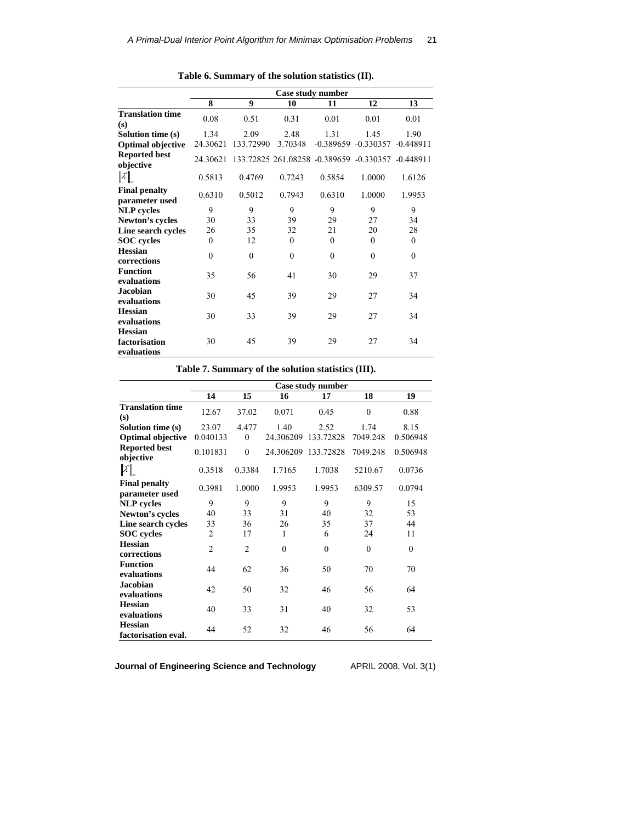|                                                |              |           |          | Case study number                                 |                        |              |
|------------------------------------------------|--------------|-----------|----------|---------------------------------------------------|------------------------|--------------|
|                                                | 8            | 9         | 10       | 11                                                | 12                     | 13           |
| <b>Translation time</b><br>(s)                 | 0.08         | 0.51      | 0.31     | 0.01                                              | 0.01                   | 0.01         |
| Solution time (s)                              | 1.34         | 2.09      | 2.48     | 1.31                                              | 1.45                   | 1.90         |
| <b>Optimal objective</b>                       | 24.30621     | 133.72990 | 3.70348  |                                                   | $-0.389659 - 0.330357$ | $-0.448911$  |
| <b>Reported best</b><br>objective              | 24.30621     |           |          | 133.72825 261.08258 -0.389659 -0.330357 -0.448911 |                        |              |
| $\  \lambda^* \ _n$                            | 0.5813       | 0.4769    | 0.7243   | 0.5854                                            | 1.0000                 | 1.6126       |
| <b>Final penalty</b><br>parameter used         | 0.6310       | 0.5012    | 0.7943   | 0.6310                                            | 1.0000                 | 1.9953       |
| <b>NLP</b> cycles                              | 9            | 9         | 9        | 9                                                 | 9                      | 9            |
| Newton's cycles                                | 30           | 33        | 39       | 29                                                | 27                     | 34           |
| Line search cycles                             | 26           | 35        | 32       | 21                                                | 20                     | 28           |
| <b>SOC</b> cycles                              | $\theta$     | 12        | $\theta$ | $\Omega$                                          | $\theta$               | $\Omega$     |
| <b>Hessian</b><br>corrections                  | $\mathbf{0}$ | $\theta$  | $\theta$ | $\theta$                                          | $\mathbf{0}$           | $\mathbf{0}$ |
| <b>Function</b><br>evaluations                 | 35           | 56        | 41       | 30                                                | 29                     | 37           |
| <b>Jacobian</b><br>evaluations                 | 30           | 45        | 39       | 29                                                | 27                     | 34           |
| <b>Hessian</b><br>evaluations                  | 30           | 33        | 39       | 29                                                | 27                     | 34           |
| <b>Hessian</b><br>factorisation<br>evaluations | 30           | 45        | 39       | 29                                                | 27                     | 34           |

**Table 6. Summary of the solution statistics (II).** 

| Table 7. Summary of the solution statistics (III). |  |
|----------------------------------------------------|--|
|----------------------------------------------------|--|

|                                               |                |                |           | Case study number |              |          |
|-----------------------------------------------|----------------|----------------|-----------|-------------------|--------------|----------|
|                                               | 14             | 15             | 16        | 17                | 18           | 19       |
| <b>Translation time</b><br>(s)                | 12.67          | 37.02          | 0.071     | 0.45              | $\mathbf{0}$ | 0.88     |
| Solution time (s)                             | 23.07          | 4.477          | 1.40      | 2.52              | 1.74         | 8.15     |
| <b>Optimal objective</b>                      | 0.040133       | $\theta$       | 24.306209 | 133.72828         | 7049.248     | 0.506948 |
| <b>Reported best</b><br>objective             | 0.101831       | $\theta$       | 24.306209 | 133.72828         | 7049.248     | 0.506948 |
| $\left\Vert \mathcal{X}\right\Vert _{\infty}$ | 0.3518         | 0.3384         | 1.7165    | 1.7038            | 5210.67      | 0.0736   |
| <b>Final penalty</b><br>parameter used        | 0.3981         | 1.0000         | 1.9953    | 1.9953            | 6309.57      | 0.0794   |
| <b>NLP</b> cycles                             | 9              | 9              | 9         | 9                 | 9            | 15       |
| Newton's cycles                               | 40             | 33             | 31        | 40                | 32           | 53       |
| Line search cycles                            | 33             | 36             | 26        | 35                | 37           | 44       |
| <b>SOC</b> cycles                             | $\overline{2}$ | 17             | 1         | 6                 | 24           | 11       |
| <b>Hessian</b><br>corrections                 | $\overline{2}$ | $\overline{2}$ | $\theta$  | $\theta$          | $\theta$     | $\theta$ |
| <b>Function</b><br>evaluations                | 44             | 62             | 36        | 50                | 70           | 70       |
| <b>Jacobian</b><br>evaluations                | 42             | 50             | 32        | 46                | 56           | 64       |
| <b>Hessian</b><br>evaluations                 | 40             | 33             | 31        | 40                | 32           | 53       |
| <b>Hessian</b><br>factorisation eval.         | 44             | 52             | 32        | 46                | 56           | 64       |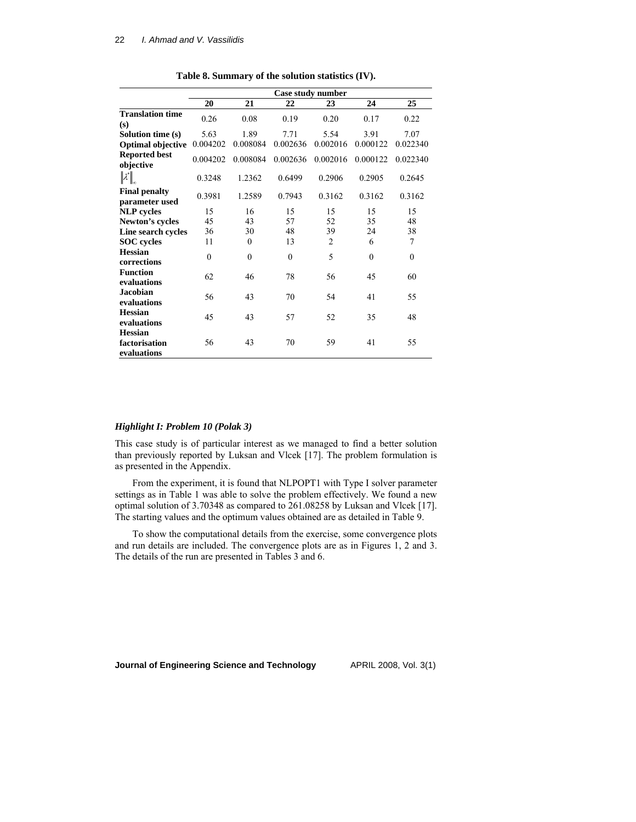|                                                |          |          |          | Case study number |              |              |
|------------------------------------------------|----------|----------|----------|-------------------|--------------|--------------|
|                                                | 20       | 21       | 22       | 23                | 24           | 25           |
| <b>Translation time</b><br>(s)                 | 0.26     | 0.08     | 0.19     | 0.20              | 0.17         | 0.22         |
| Solution time (s)                              | 5.63     | 1.89     | 7.71     | 5.54              | 3.91         | 7.07         |
| <b>Optimal objective</b>                       | 0.004202 | 0.008084 | 0.002636 | 0.002016          | 0.000122     | 0.022340     |
| <b>Reported best</b><br>objective              | 0.004202 | 0.008084 | 0.002636 | 0.002016          | 0.000122     | 0.022340     |
| $\ \lambda^*\ _{_\infty}$                      | 0.3248   | 1.2362   | 0.6499   | 0.2906            | 0.2905       | 0.2645       |
| <b>Final penalty</b><br>parameter used         | 0.3981   | 1.2589   | 0.7943   | 0.3162            | 0.3162       | 0.3162       |
| <b>NLP</b> cycles                              | 15       | 16       | 15       | 15                | 15           | 15           |
| Newton's cycles                                | 45       | 43       | 57       | 52                | 35           | 48           |
| Line search cycles                             | 36       | 30       | 48       | 39                | 24           | 38           |
| <b>SOC</b> cycles                              | 11       | $\theta$ | 13       | $\overline{2}$    | 6            | 7            |
| <b>Hessian</b><br>corrections                  | $\theta$ | $\theta$ | $\theta$ | 5                 | $\mathbf{0}$ | $\mathbf{0}$ |
| <b>Function</b><br>evaluations                 | 62       | 46       | 78       | 56                | 45           | 60           |
| <b>Jacobian</b><br>evaluations                 | 56       | 43       | 70       | 54                | 41           | 55           |
| <b>Hessian</b><br>evaluations                  | 45       | 43       | 57       | 52                | 35           | 48           |
| <b>Hessian</b><br>factorisation<br>evaluations | 56       | 43       | 70       | 59                | 41           | 55           |

**Table 8. Summary of the solution statistics (IV).** 

### *Highlight I: Problem 10 (Polak 3)*

This case study is of particular interest as we managed to find a better solution than previously reported by Luksan and Vlcek [17]. The problem formulation is as presented in the Appendix.

From the experiment, it is found that NLPOPT1 with Type I solver parameter settings as in Table 1 was able to solve the problem effectively. We found a new optimal solution of 3.70348 as compared to 261.08258 by Luksan and Vlcek [17]. The starting values and the optimum values obtained are as detailed in Table 9.

To show the computational details from the exercise, some convergence plots and run details are included. The convergence plots are as in Figures 1, 2 and 3. The details of the run are presented in Tables 3 and 6.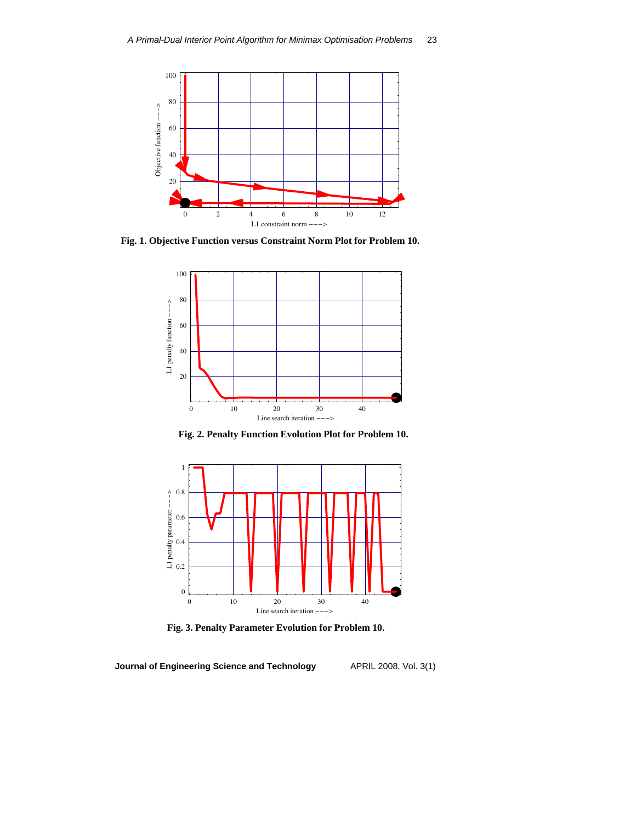

**Fig. 1. Objective Function versus Constraint Norm Plot for Problem 10.**



**Fig. 2. Penalty Function Evolution Plot for Problem 10.** 



**Fig. 3. Penalty Parameter Evolution for Problem 10.**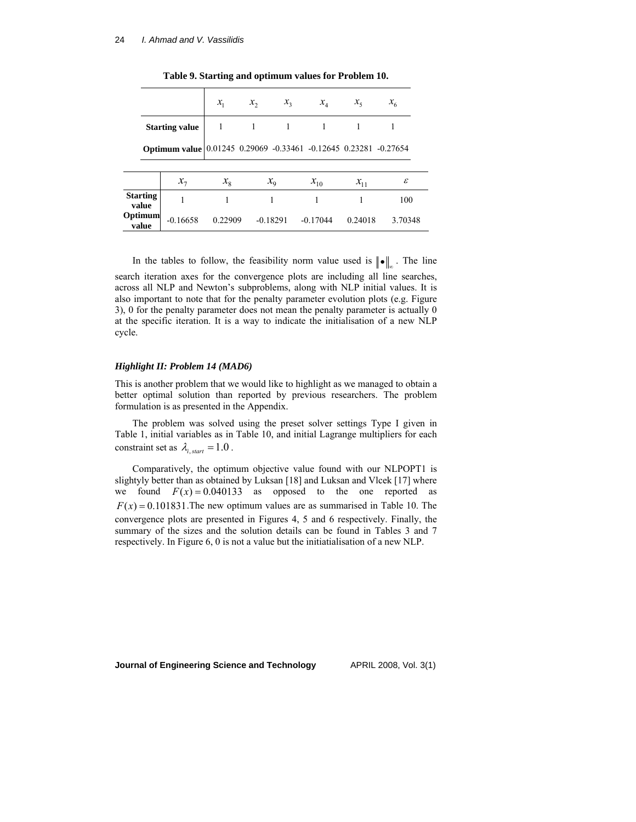|                          |                                                                  | $x_{1}$     | $x_{2}$ | $x_{3}$     | $x_4$      | $x_{5}$  | $x_{\scriptscriptstyle 6}$ |  |
|--------------------------|------------------------------------------------------------------|-------------|---------|-------------|------------|----------|----------------------------|--|
|                          | <b>Starting value</b>                                            |             |         |             |            |          |                            |  |
|                          | Optimum value 0.01245 0.29069 -0.33461 -0.12645 0.23281 -0.27654 |             |         |             |            |          |                            |  |
|                          | $x_{\tau}$                                                       | $x_{\rm g}$ |         | $x_{\rm o}$ | $x_{10}$   | $x_{11}$ | ε                          |  |
| <b>Starting</b><br>value | 1                                                                |             |         |             |            |          | 100                        |  |
| Optimum<br>value         | $-0.16658$                                                       | 0.22909     |         | $-0.18291$  | $-0.17044$ | 0.24018  | 3.70348                    |  |

**Table 9. Starting and optimum values for Problem 10.** 

In the tables to follow, the feasibility norm value used is  $|| \bullet ||_n$ . The line search iteration axes for the convergence plots are including all line searches, across all NLP and Newton's subproblems, along with NLP initial values. It is also important to note that for the penalty parameter evolution plots (e.g. Figure 3), 0 for the penalty parameter does not mean the penalty parameter is actually 0 at the specific iteration. It is a way to indicate the initialisation of a new NLP cycle.

#### *Highlight II: Problem 14 (MAD6)*

This is another problem that we would like to highlight as we managed to obtain a better optimal solution than reported by previous researchers. The problem formulation is as presented in the Appendix.

The problem was solved using the preset solver settings Type I given in Table 1, initial variables as in Table 10, and initial Lagrange multipliers for each constraint set as  $\lambda_i$ , *start* = 1.0.

Comparatively, the optimum objective value found with our NLPOPT1 is slightyly better than as obtained by Luksan [18] and Luksan and Vlcek [17] where we found  $F(x) = 0.040133$  as opposed to the one reported as  $F(x) = 0.101831$ . The new optimum values are as summarised in Table 10. The convergence plots are presented in Figures 4, 5 and 6 respectively. Finally, the summary of the sizes and the solution details can be found in Tables 3 and 7 respectively. In Figure 6, 0 is not a value but the initiatialisation of a new NLP.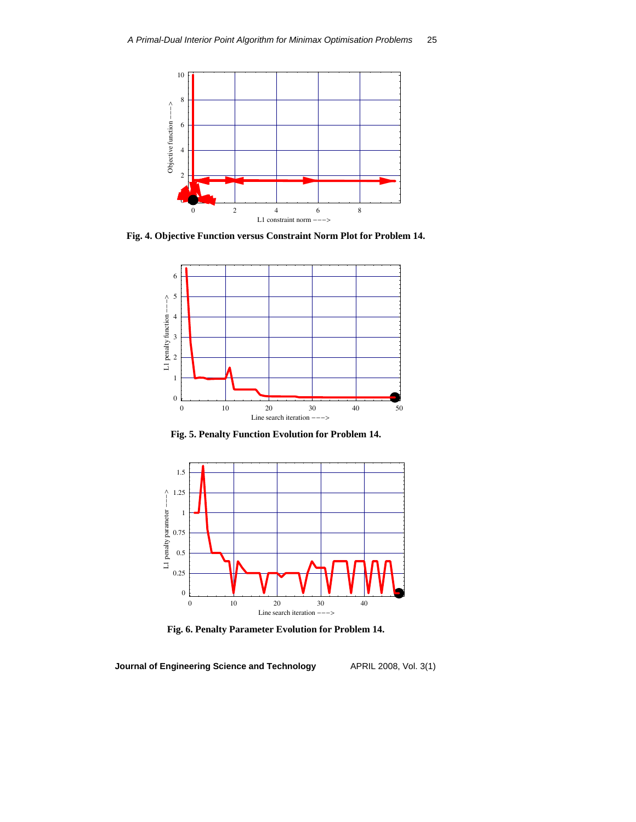

**Fig. 4. Objective Function versus Constraint Norm Plot for Problem 14.** 



**Fig. 5. Penalty Function Evolution for Problem 14.** 



**Fig. 6. Penalty Parameter Evolution for Problem 14.**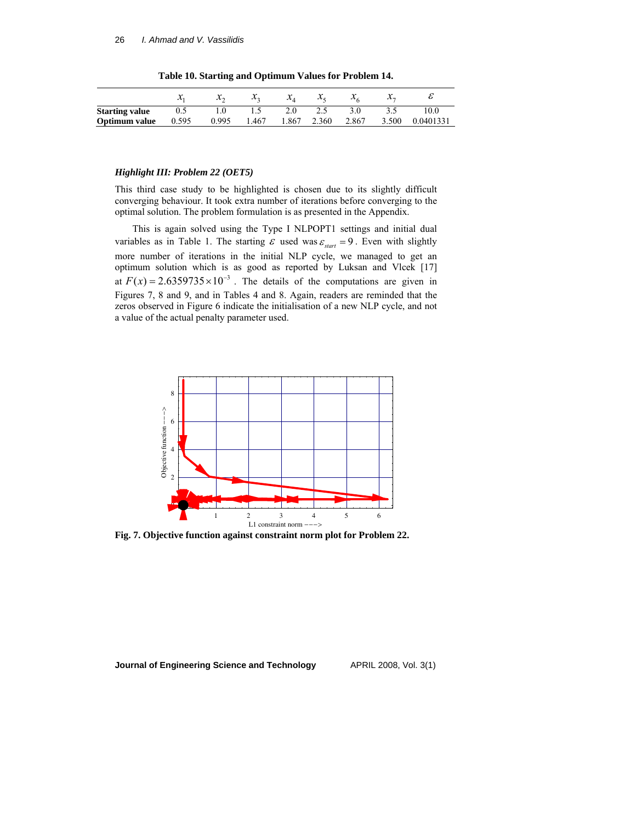|                       |       | $\lambda_{\alpha}$ | $\mathcal{X}_{\mathcal{D}}$ | $\mathcal{X}_{A}$ | $\mathcal{X}_{\varepsilon}$ | $\lambda_c$ | $\lambda$ |           |
|-----------------------|-------|--------------------|-----------------------------|-------------------|-----------------------------|-------------|-----------|-----------|
| <b>Starting value</b> | 0.5   |                    |                             | 2.0               | 2.5                         |             |           | 10.0      |
| Optimum value         | 0.595 | 0.995              | 1.467                       | 1.867             | 2.360                       | 2.867       | 3.500     | 0.0401331 |

**Table 10. Starting and Optimum Values for Problem 14.** 

### *Highlight III: Problem 22 (OET5)*

This third case study to be highlighted is chosen due to its slightly difficult converging behaviour. It took extra number of iterations before converging to the optimal solution. The problem formulation is as presented in the Appendix.

This is again solved using the Type I NLPOPT1 settings and initial dual variables as in Table 1. The starting  $\varepsilon$  used was  $\varepsilon_{start} = 9$ . Even with slightly more number of iterations in the initial NLP cycle, we managed to get an optimum solution which is as good as reported by Luksan and Vlcek [17] at  $F(x) = 2.6359735 \times 10^{-3}$ . The details of the computations are given in Figures 7, 8 and 9, and in Tables 4 and 8. Again, readers are reminded that the zeros observed in Figure 6 indicate the initialisation of a new NLP cycle, and not a value of the actual penalty parameter used.



**Fig. 7. Objective function against constraint norm plot for Problem 22.**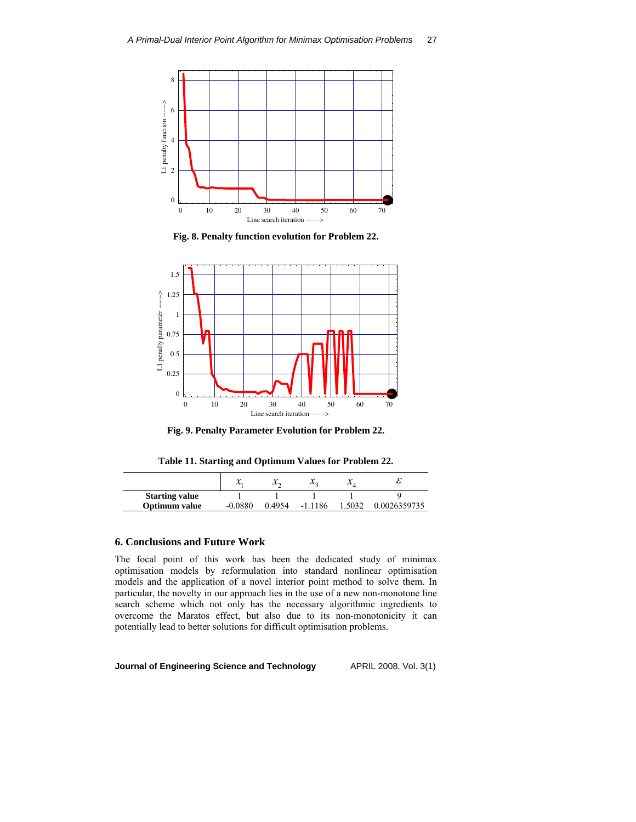

**Fig. 8. Penalty function evolution for Problem 22.** 



**Fig. 9. Penalty Parameter Evolution for Problem 22.** 

**Table 11. Starting and Optimum Values for Problem 22.** 

|                       | ᠕       | $\lambda$ |           | $\boldsymbol{\mathcal{N}}$ 1 |              |
|-----------------------|---------|-----------|-----------|------------------------------|--------------|
| <b>Starting value</b> |         |           |           |                              |              |
| Optimum value         | -0.0880 | 0.4954    | $-1.1186$ | 5032                         | 0.0026359735 |

### **6. Conclusions and Future Work**

The focal point of this work has been the dedicated study of minimax optimisation models by reformulation into standard nonlinear optimisation models and the application of a novel interior point method to solve them. In particular, the novelty in our approach lies in the use of a new non-monotone line search scheme which not only has the necessary algorithmic ingredients to overcome the Maratos effect, but also due to its non-monotonicity it can potentially lead to better solutions for difficult optimisation problems.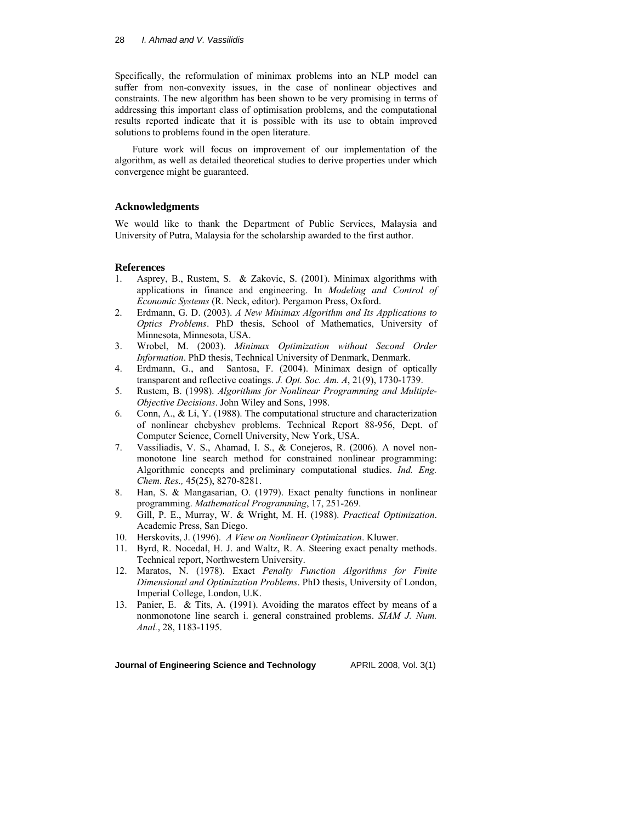### 28 *I. Ahmad and V. Vassilidis*

Specifically, the reformulation of minimax problems into an NLP model can suffer from non-convexity issues, in the case of nonlinear objectives and constraints. The new algorithm has been shown to be very promising in terms of addressing this important class of optimisation problems, and the computational results reported indicate that it is possible with its use to obtain improved solutions to problems found in the open literature.

Future work will focus on improvement of our implementation of the algorithm, as well as detailed theoretical studies to derive properties under which convergence might be guaranteed.

### **Acknowledgments**

We would like to thank the Department of Public Services, Malaysia and University of Putra, Malaysia for the scholarship awarded to the first author.

### **References**

- 1. Asprey, B., Rustem, S. & Zakovic, S. (2001). Minimax algorithms with applications in finance and engineering. In *Modeling and Control of Economic Systems* (R. Neck, editor). Pergamon Press, Oxford.
- 2. Erdmann, G. D. (2003). *A New Minimax Algorithm and Its Applications to Optics Problems*. PhD thesis, School of Mathematics, University of Minnesota, Minnesota, USA.
- 3. Wrobel, M. (2003). *Minimax Optimization without Second Order Information*. PhD thesis, Technical University of Denmark, Denmark.
- 4. Erdmann, G., and Santosa, F. (2004). Minimax design of optically transparent and reflective coatings. *J. Opt. Soc. Am. A*, 21(9), 1730-1739.
- 5. Rustem, B. (1998). *Algorithms for Nonlinear Programming and Multiple-Objective Decisions*. John Wiley and Sons, 1998.
- 6. Conn, A., & Li, Y. (1988). The computational structure and characterization of nonlinear chebyshev problems. Technical Report 88-956, Dept. of Computer Science, Cornell University, New York, USA.
- 7. Vassiliadis, V. S., Ahamad, I. S., & Conejeros, R. (2006). A novel nonmonotone line search method for constrained nonlinear programming: Algorithmic concepts and preliminary computational studies. *Ind. Eng. Chem. Res.,* 45(25), 8270-8281.
- 8. Han, S. & Mangasarian, O. (1979). Exact penalty functions in nonlinear programming. *Mathematical Programming*, 17, 251-269.
- 9. Gill, P. E., Murray, W. & Wright, M. H. (1988). *Practical Optimization*. Academic Press, San Diego.
- 10. Herskovits, J. (1996). *A View on Nonlinear Optimization*. Kluwer.
- 11. Byrd, R. Nocedal, H. J. and Waltz, R. A. Steering exact penalty methods. Technical report, Northwestern University.
- 12. Maratos, N. (1978). Exact *Penalty Function Algorithms for Finite Dimensional and Optimization Problems*. PhD thesis, University of London, Imperial College, London, U.K.
- 13. Panier, E. & Tits, A. (1991). Avoiding the maratos effect by means of a nonmonotone line search i. general constrained problems. *SIAM J. Num. Anal.*, 28, 1183-1195.